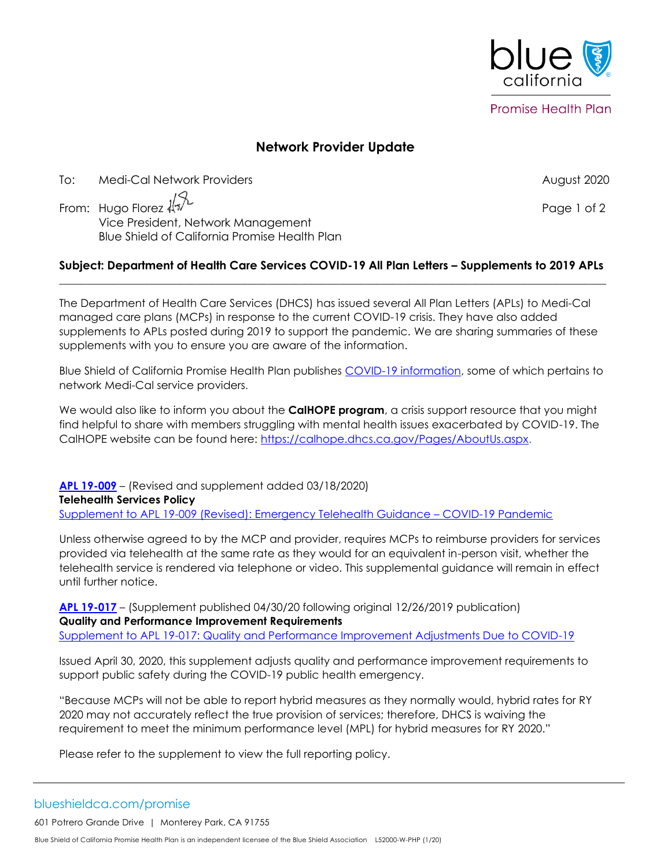

**Network Provider Update**

To: Medi-Cal Network Providers August 2020

From: Hugo Florez  $\sqrt[4]{x}$ <br>Nice President Materials in the contract of 2 Vice President, Network Management Blue Shield of California Promise Health Plan

## **Subject: Department of Health Care Services COVID-19 All Plan Letters – Supplements to 2019 APLs**  $\mathcal{L}_\mathcal{L} = \{ \mathcal{L}_\mathcal{L}, \mathcal{L}_\mathcal{L}, \mathcal{L}_\mathcal{L}, \mathcal{L}_\mathcal{L}, \mathcal{L}_\mathcal{L}, \mathcal{L}_\mathcal{L}, \mathcal{L}_\mathcal{L}, \mathcal{L}_\mathcal{L}, \mathcal{L}_\mathcal{L}, \mathcal{L}_\mathcal{L}, \mathcal{L}_\mathcal{L}, \mathcal{L}_\mathcal{L}, \mathcal{L}_\mathcal{L}, \mathcal{L}_\mathcal{L}, \mathcal{L}_\mathcal{L}, \mathcal{L}_\mathcal{L}, \mathcal{L}_\mathcal{L}, \$

The Department of Health Care Services (DHCS) has issued several All Plan Letters (APLs) to Medi-Cal managed care plans (MCPs) in response to the current COVID-19 crisis. They have also added supplements to APLs posted during 2019 to support the pandemic. We are sharing summaries of these supplements with you to ensure you are aware of the information.

Blue Shield of California Promise Health Plan publishes [COVID-19 information,](https://www.blueshieldca.com/bsca/bsc/wcm/connect/provider/provider_content_en/guidelines_resources/COVID-19-network-providers-info) some of which pertains to network Medi-Cal service providers.

We would also like to inform you about the **CalHOPE program**, a crisis support resource that you might find helpful to share with members struggling with mental health issues exacerbated by COVID-19. The CalHOPE website can be found here: [https://calhope.dhcs.ca.gov/Pages/AboutUs.aspx.](https://urldefense.proofpoint.com/v2/url?u=https-3A__calhope.dhcs.ca.gov_Pages_AboutUs.aspx&d=DwMF-g&c=hNAZrKxPkhfPADjr9wUJ4I9GS8ZQPNEcFQu4kKjVcNw&r=PPrR93_r38n1JaTn9-NuG11yoiJYYO6boHBwjuGXFGQ0FdD25ugLHwF5dYcqTr33&m=cy5pYYRjkD8PnJx7QNp0AxzhMKWMsHnJgkyA0OYdzkY&s=UyfSFZBWXyW0wMOFHYJrFiczPviyYv8Bhkpwar_br38&e=)

**[APL 19-009](https://www.dhcs.ca.gov/formsandpubs/Documents/MMCDAPLsandPolicyLetters/APL2019/APL19-009.pdf)** – (Revised and supplement added 03/18/2020)

**Telehealth Services Policy**

[Supplement to APL 19-009 \(Revised\): Emergency Telehealth Guidance](https://www.dhcs.ca.gov/formsandpubs/Documents/MMCDAPLsandPolicyLetters/APL2019/APL19-009COVID-19.pdf) – COVID-19 Pandemic

Unless otherwise agreed to by the MCP and provider, requires MCPs to reimburse providers for services provided via telehealth at the same rate as they would for an equivalent in-person visit, whether the telehealth service is rendered via telephone or video. This supplemental guidance will remain in effect until further notice.

**[APL 19-017](https://www.dhcs.ca.gov/formsandpubs/Documents/MMCDAPLsandPolicyLetters/APL2019/APL19-017.pdf)** – (Supplement published 04/30/20 following original 12/26/2019 publication) **Quality and Performance Improvement Requirements**

[Supplement to APL 19-017: Quality and Performance Improvement Adjustments Due to COVID-19](https://www.dhcs.ca.gov/formsandpubs/Documents/MMCDAPLsandPolicyLetters/APL2019/APL19-017QISupp.pdf)

Issued April 30, 2020, this supplement adjusts quality and performance improvement requirements to support public safety during the COVID-19 public health emergency.

"Because MCPs will not be able to report hybrid measures as they normally would, hybrid rates for RY 2020 may not accurately reflect the true provision of services; therefore, DHCS is waiving the requirement to meet the minimum performance level (MPL) for hybrid measures for RY 2020."

Please refer to the supplement to view the full reporting policy.

blueshieldca.com/promise

601 Potrero Grande Drive | Monterey Park, CA 91755